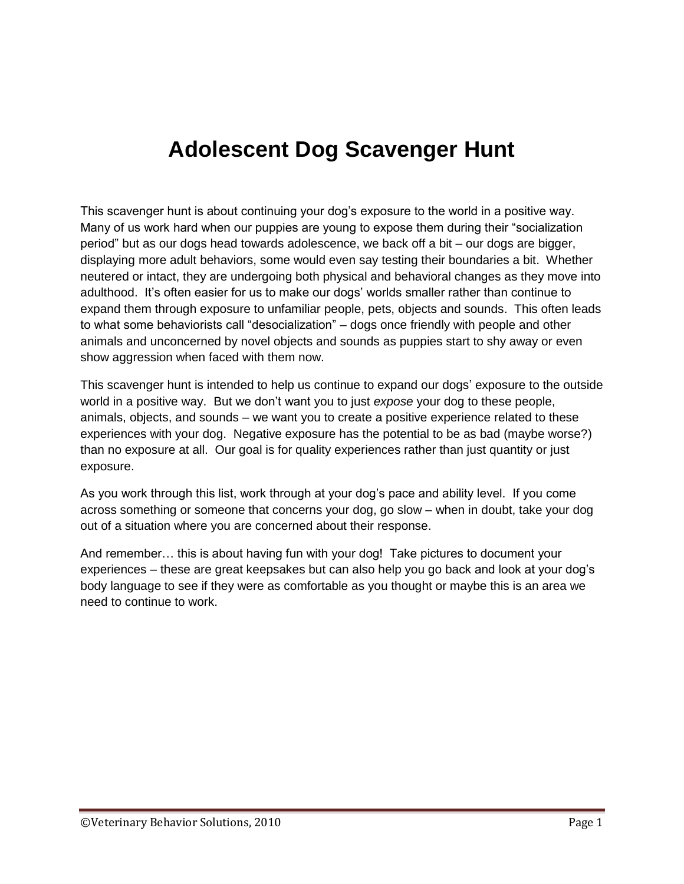# **Adolescent Dog Scavenger Hunt**

This scavenger hunt is about continuing your dog's exposure to the world in a positive way. Many of us work hard when our puppies are young to expose them during their "socialization period" but as our dogs head towards adolescence, we back off a bit – our dogs are bigger, displaying more adult behaviors, some would even say testing their boundaries a bit. Whether neutered or intact, they are undergoing both physical and behavioral changes as they move into adulthood. It's often easier for us to make our dogs' worlds smaller rather than continue to expand them through exposure to unfamiliar people, pets, objects and sounds. This often leads to what some behaviorists call "desocialization" – dogs once friendly with people and other animals and unconcerned by novel objects and sounds as puppies start to shy away or even show aggression when faced with them now.

This scavenger hunt is intended to help us continue to expand our dogs' exposure to the outside world in a positive way. But we don't want you to just *expose* your dog to these people, animals, objects, and sounds – we want you to create a positive experience related to these experiences with your dog. Negative exposure has the potential to be as bad (maybe worse?) than no exposure at all. Our goal is for quality experiences rather than just quantity or just exposure.

As you work through this list, work through at your dog's pace and ability level. If you come across something or someone that concerns your dog, go slow – when in doubt, take your dog out of a situation where you are concerned about their response.

And remember… this is about having fun with your dog! Take pictures to document your experiences – these are great keepsakes but can also help you go back and look at your dog's body language to see if they were as comfortable as you thought or maybe this is an area we need to continue to work.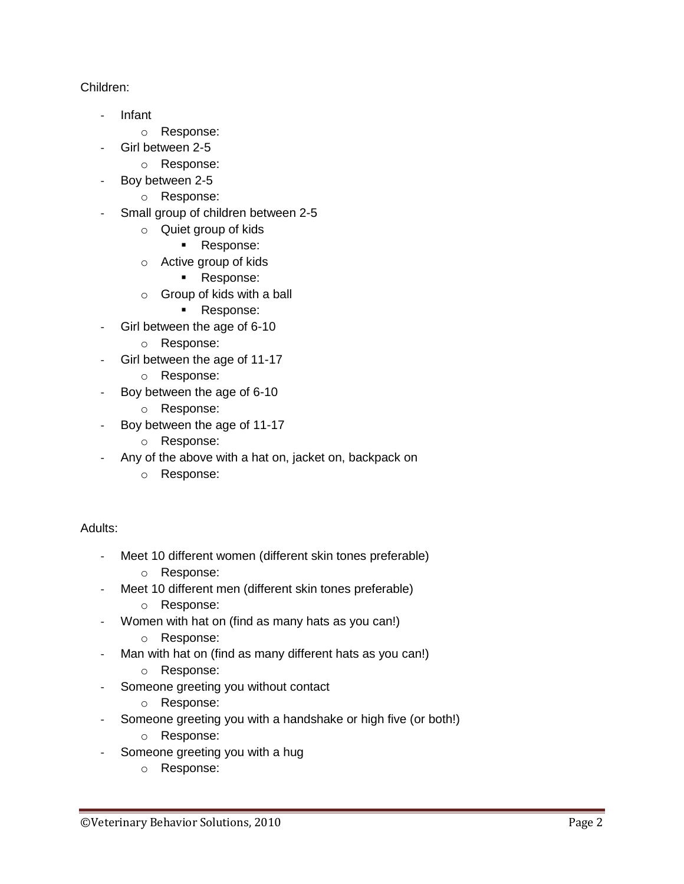## Children:

- Infant
	- o Response:
- Girl between 2-5
	- o Response:
- Boy between 2-5
	- o Response:
- Small group of children between 2-5
	- o Quiet group of kids
		- **Response:**
	- o Active group of kids
		- **Response:**
	- o Group of kids with a ball
		- **Response:**
	- Girl between the age of 6-10
		- o Response:
- Girl between the age of 11-17
	- o Response:
- Boy between the age of 6-10
	- o Response:
- Boy between the age of 11-17
	- o Response:
- Any of the above with a hat on, jacket on, backpack on
	- o Response:

Adults:

- Meet 10 different women (different skin tones preferable)
	- o Response:
- Meet 10 different men (different skin tones preferable)
	- o Response:
- Women with hat on (find as many hats as you can!)
	- o Response:
- Man with hat on (find as many different hats as you can!)
	- o Response:
- Someone greeting you without contact
	- o Response:
- Someone greeting you with a handshake or high five (or both!)
	- o Response:
- Someone greeting you with a hug
	- o Response: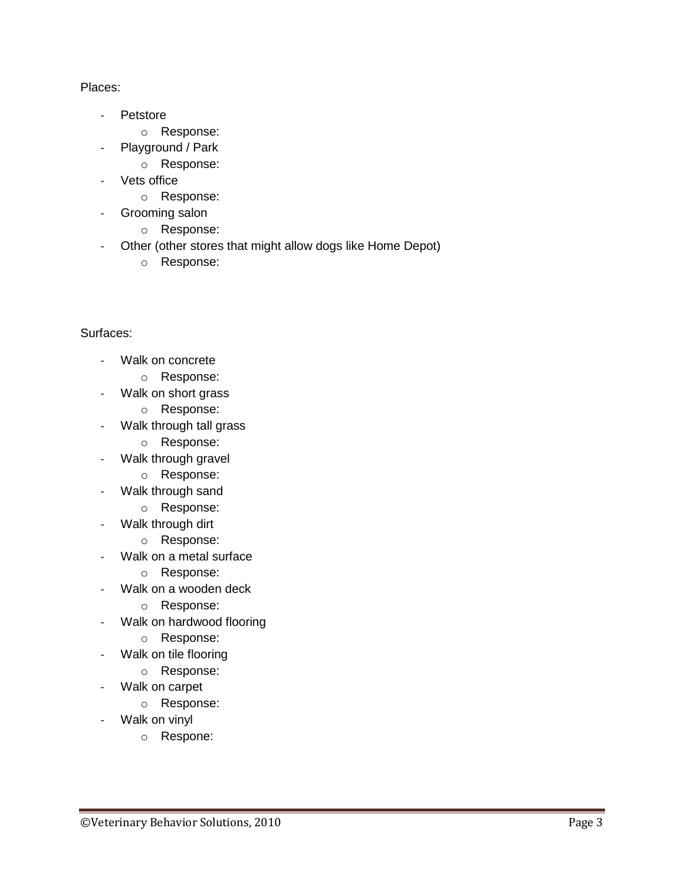### Places:

- Petstore
	- o Response:
- Playground / Park
	- o Response:
- Vets office
	- o Response:
- Grooming salon
	- o Response:
- Other (other stores that might allow dogs like Home Depot)
	- o Response:

## Surfaces:

- Walk on concrete
	- o Response:
- Walk on short grass
	- o Response:
- Walk through tall grass
	- o Response:
- Walk through gravel
	- o Response:
- Walk through sand
	- o Response:
- Walk through dirt
	- o Response:
- Walk on a metal surface
	- o Response:
- Walk on a wooden deck
	- o Response:
- Walk on hardwood flooring
	- o Response:
- Walk on tile flooring
	- o Response:
- Walk on carpet
	- o Response:
- Walk on vinyl
	- o Respone: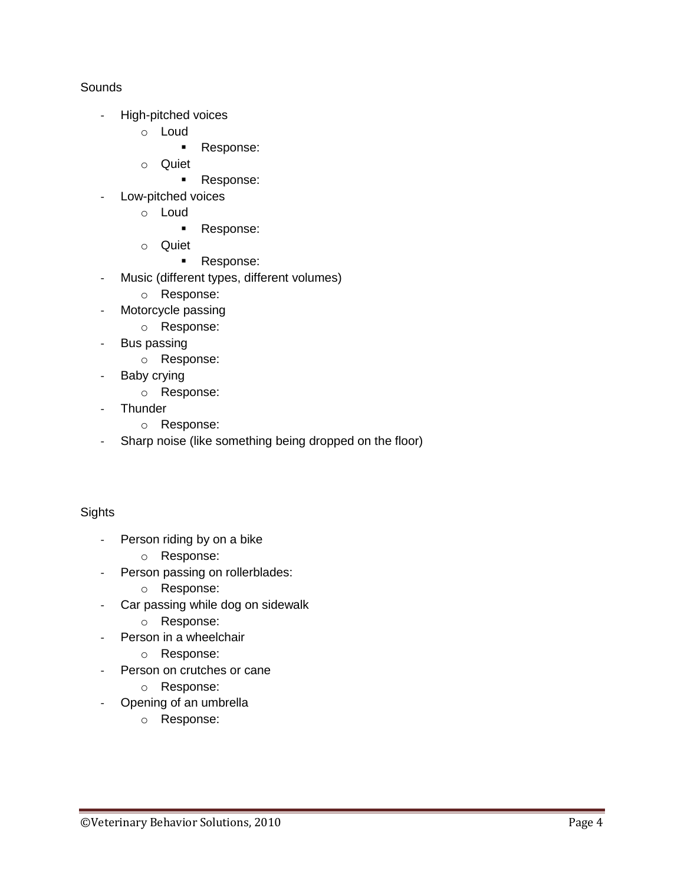### Sounds

- High-pitched voices
	- o Loud
		- **Response:**
	- o Quiet
		- **Response:**
- Low-pitched voices
	- o Loud
		- **Response:**
	- o Quiet
		- **Response:**
- Music (different types, different volumes)
	- o Response:
- Motorcycle passing
	- o Response:
- Bus passing
	- o Response:
- Baby crying
	- o Response:
- Thunder
	- o Response:
- Sharp noise (like something being dropped on the floor)

### **Sights**

- Person riding by on a bike
	- o Response:
- Person passing on rollerblades:
	- o Response:
- Car passing while dog on sidewalk
	- o Response:
- Person in a wheelchair
	- o Response:
- Person on crutches or cane
	- o Response:
- Opening of an umbrella
	- o Response: